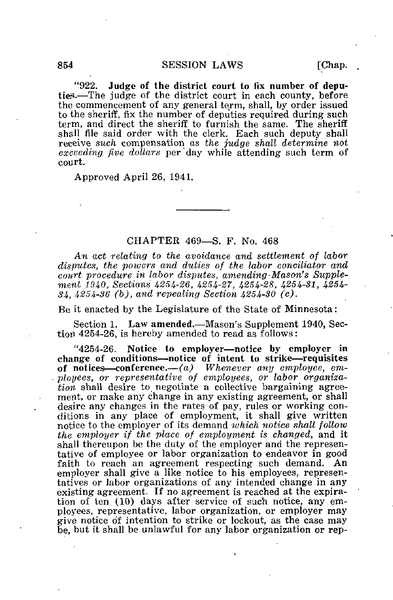"922. Judge of the district court to fix number of deputies.—The judge of the district court in each county, before the commencement of any general term, shall, by order issued to the sheriff, fix the number of deputies required during such term, and direct the sheriff to furnish the same. The sheriff shall file said order with the clerk. Each such deputy shall receive such compensation as the judge shall determine not exceeding five dollars per "day while attending such term of court.

Approved April 26, 1941.

## CHAPTER 469—S. F. No. 468

An act relating to the avoidance and settlement of labor disputes, the powers and duties of the labor conciliator and court procedure in labor disputes, amending-Mason's Supplement. 1940, Sections 4254-26, 4254-27, 4254-28, 4254-81, 4254-34, 4254-36 (b), and repealing Section 4254-30 (c).

Be it enacted by the Legislature of the State of Minnesota:

Section 1. Law amended.—Mason's Supplement 1940, Section 4254-26, is hereby amended to read as follows:

"4254-26. Notice to employer—notice by employer in change of conditions—notice of intent to strike—requisites of notices—conference.— $(a)$  Whenever any employee, employees, or representative of employees, or labor organiza- $\overline{tion}$  shall desire to negotiate a collective bargaining agreement, or make any change in any existing agreement, or shall desire any changes in the rates of pay, rules or working conditions in any place of employment, it shall give written notice to the employer of its demand which notice shall follow the employer if the place of employment is changed, and it shall thereupon be the duty of the employer and the representative of employee or labor organization to endeavor in good faith to reach an agreement respecting such demand. An employer shall give a like notice to his employees, representatives or labor organizations of any intended change in any existing agreement. If no agreement is reached at the expiration of ten (10) days after service of such notice, any employees, representative, labor organization, or employer may give notice of intention to strike or lockout, as the case may be, but it shall be unlawful for any labor organization or rep-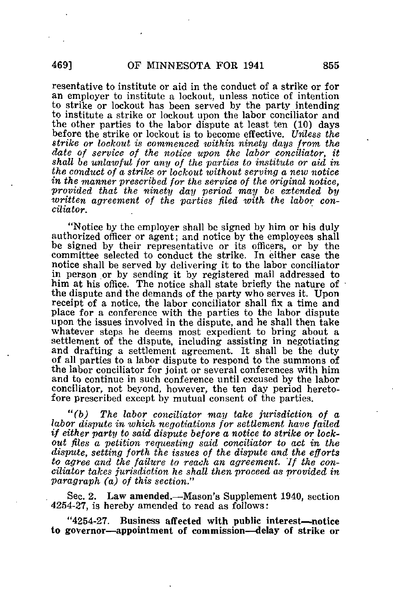resentative to institute or aid in the conduct of a strike or for an employer to institute a lockout, unless notice of intention to strike or lockout has been served by the party intending to institute a strike or lockout upon the labor conciliator and the other parties to the labor dispute at least ten (10) days before the strike or lockout is to become effective. Unless the strike or lockout is commenced within ninety days from the date of service of the notice upon the labor conciliator, it shall be unlawful for any of the parties to institute or aid in the conduct of a strike or lockout without serving a new notice in the manner prescribed for the service of the original notice, provided that the ninety day period may be extended by written agreement of the parties filed with the labor conciliator.

"Notice by the employer shall be signed by him or his duly authorized officer or agent; and notice by the employees shall be signed by their representative or its officers, or by the committee selected to conduct the strike. In either case the notice shall be served by delivering it to the labor conciliator in person or by sending it by registered mail addressed to him at his office. The notice shall state briefly the nature of the dispute and the demands of the party who serves it. Upon receipt of a notice, the labor conciliator shall fix a time and place for a conference with the parties to the labor dispute upon the issues involved in the dispute, and he shall then take whatever steps he deems most expedient to bring about a settlement of the dispute, including assisting in negotiating and drafting a settlement agreement. It shall be the duty of all parties to a labor dispute to respond to the summons of the labor conciliator for joint or several conferences with him and to continue in such conference until excused by the labor conciliator, not beyond, however, the ten day period heretofore prescribed except by mutual consent of the parties.

"(b) The labor conciliator may take jurisdiction of a labor dispute in which negotiations for settlement have failed if either party to said dispute before a notice to strike or lockout files a petition requesting said conciliator to act in the dispute, setting forth the issues of the dispute and the efforts to agree and the failure to reach an agreement. 'If the conciliator takes jurisdiction he shall then proceed as provided in paragraph (a) of this section."

Sec. 2. Law amended.—Mason's Supplement 1940, section 4254-27, is hereby amended to read as follows:

"4254-27. Business affected with public interest—notice to governor—appointment of commission—delay of strike or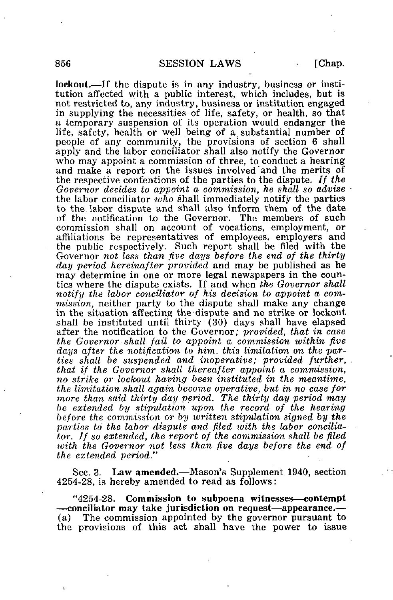lockout.—If the dispute is in any industry, business or institution affected with a public interest, which includes, but is not restricted to, any industry, business or institution engaged in supplying the necessities of life, safety, or health, so that a temporary suspension of its operation would endanger the life, safety, health or well being of a substantial number of people of any community, the provisions of section 6 shall apply and the labor conciliator shall also notify the Governor who may appoint a commission of three, to conduct a hearing and make a report on the issues involved and the merits of the respective contentions of the parties to the dispute. If the Governor decides to appoint a commission, he shall so advise the labor conciliator who shall immediately notify the parties to the labor dispute and shall also inform them of the date of the notification to the Governor. The members of such commission shall on account of vocations, employment, or affiliations be representatives of employees, employers and the public respectively. Such report shall be filed with the Governor not less than five days before the end of the thirty day period hereinafter provided and may be published as he may determine in one or more legal newspapers in the counties where the dispute exists. If and when the Governor shall notify the labor conciliator of his decision to appoint a commission, neither party to the dispute shall make any change in the situation affecting the -dispute and no strike or lockout shall be instituted until thirty (30) days shall have elapsed after the notification to the Governor; provided, that in case the Governor- shall fail to appoint a commission within five days after the notification to him, this limitation on the parties shall be suspended and inoperative; provided further, that if the Governor shall thereafter appoint a commission, no strike or lockout having been instituted in the meantime, the limitation shall again become operative, but in no case for more than said thirty day period. The thirty day period may be extended by stipulation upon the record of the hearing before the commission or by written stipulation signed by the parties to the labor dispute and filed with the labor conciliator. If so extended, the report of the commission shall be filed with the Governor not less than five days before the end of the extended period."

Sec. 3. Law amended.—Mason's Supplement 1940, section 4254-28, is hereby amended to read as follows:

"4254-28. Commission to subpoena witnesses—contempt —conciliator may take jurisdiction on request—appearance.— (a) The commission appointed by the governor pursuant to the provisions of this act shall have the power to issue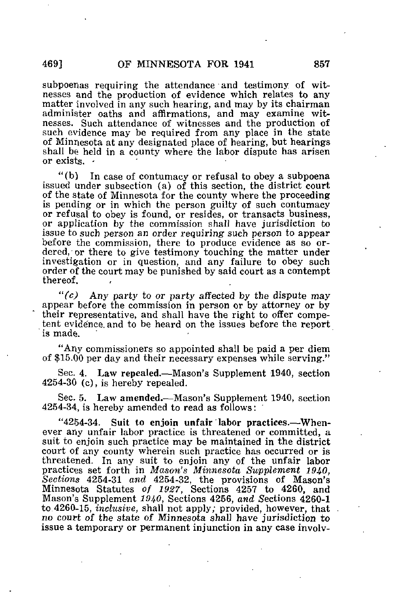subpoenas requiring the attendance and testimony of witnesses and the production of evidence which relates to any matter involved in any such hearing, and may by its chairman administer oaths and affirmations, and may examine witnesses. Such attendance of witnesses and the production of such evidence may be required from any place in the state of Minnesota at any designated place of hearing, but hearings shall be held in a county where the labor dispute has arisen or exists.

"(b) In case of contumacy or refusal to obey a subpoena issued under subsection (a) of this section, the district court of the state of Minnesota for the county where the proceeding is pending or in which the person guilty of such contumacy or refusal to obey is found, or resides, or transacts business, or application by the commission shall have jurisdiction to issue to such person an order requiring such person to appear before the commission, there to produce evidence as so ordered, or there to give testimony touching the matter under investigation or in question, and any failure to obey such order of the court may be punished by said court as a contempt thereof.

" $(c)$  Any party to or party affected by the dispute may appear before the commission in person or by attorney or by their representative, and shall have the right to offer competent evidence, and to be heard on the issues before the report is made.

"Any commissioners so appointed shall be paid a per diem of \$15.00 per day and their necessary expenses while serving."

Sec. 4. Law repealed.—Mason's Supplement 1940, section 4254-30 (c), is hereby repealed.

Sec. 5. Law amended.—Mason's Supplement 1940, section 4254-34, is hereby amended to read as follows:

"4254-34. Suit to enjoin unfair labor practices.—Whenever any unfair labor practice is threatened or committed, a suit to enjoin such practice may be maintained in the district court of any county wherein such practice has occurred or is threatened. In any suit to enjoin any of the unfair labor practices set forth in Mason's Minnesota Supplement 1940, Sections 4254-31 and 4254-32, the provisions of Mason's Minnesota Statutes of 1927, Sections 4257 to 4260, and Mason's Supplement 1940, Sections 4256, and Sections 4260-1 to 4260-15, inclusive, shall not apply; provided, however, that no court of the state of Minnesota shall have jurisdiction to issue a temporary or permanent injunction in any case involv-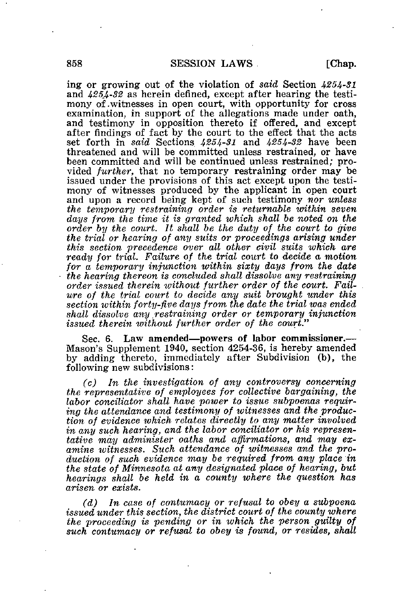ing or growing out of the violation of said Section 4254-31 and  $4254-32$  as herein defined, except after hearing the testimony of .witnesses in open court, with opportunity for cross examination, in support of the allegations made under oath, and testimony in opposition thereto if offered, and except after findings of fact by the court to the effect that the acts set forth in *said* Sections 4254-31 and 4254-32 have been threatened and will be committed unless restrained, or have been committed and will be continued unless restrained; provided further, that no temporary restraining order may be issued under the provisions of this act except upon the testimony of witnesses produced by the applicant in open court and upon a record being kept of such testimony nor unless the temporary restraining order is returnable within seven days from the time it is granted which shall be noted on the order by the court. It shall be the duty of the court to give the trial or hearing of any suits or proceedings arising under this section precedence over all other civil suits which are ready for trial. Failure of the trial court to decide a motion for a temporary injunction within sixty days from the date the hearing thereon is concluded shall dissolve any restraining order issued therein without further order of the court. Failure of the trial court to decide any suit brought under this section within forty-five days from the date the trial was ended shall dissolve any restraining order or temporary injunction issued therein without further order of the court."

Sec. 6. Law amended—powers of labor commissioner.— Mason's Supplement 1940, section 4254-36, is hereby amended by adding thereto, immediately after Subdivision (b), the following new subdivisions:

(c) In the investigation of any controversy concerning the representative of employees for collective bargaining, the labor conciliator shall have power to issue subpoenas requiring the attendance and testimony of witnesses and the production of evidence which relates directly to any matter involved in any such hearing, and the labor conciliator or his representative may administer oaths and affirmations, and may examine witnesses. Such attendance of witnesses and the production of such evidence may be required from any place in the state of Minnesota at any designated place of hearing, but hearings shall be held in a county where the question has arisen or exists.

(d) In case of contumacy or refusal to obey a subpoena issued under this section, the district court of the county where the proceeding is pending or in which the person guilty of such contumacy or refusal to obey is found, or resides, shall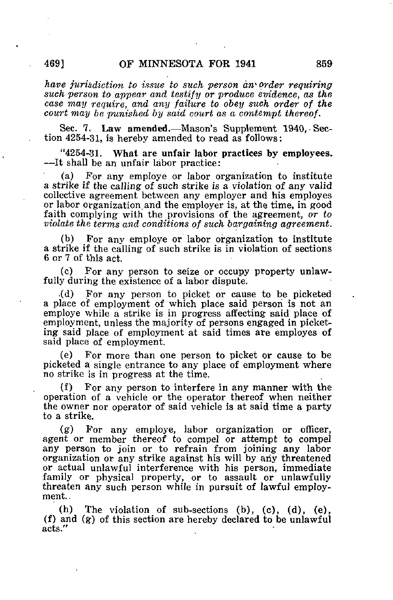have jurisdiction to issue to such person an order requiring such person to appear and testify or produce evidence, as the case may require, and any failure to obey such order of the court may be punished by said court as a contempt thereof.

Sec. 7, Law amended.—Mason's Supplement 1940,-Section 4254-31, is hereby amended to read as follows:

"4254-31, What are unfair labor practices by employees. —It shall be an unfair labor practice:

(a) For any employe or labor organization to institute a strike if the calling of such strike is a violation of any valid collective agreement between any employer and his employes or labor organization and the employer is, at the time, in good faith complying with the provisions of the agreement, or to violate the terms and conditions of such bargaining agreement.

(b) For any employe or labor organization to institute a strike if the calling of such strike is in violation of sections 6 or 7 of this act.

(c) For any person to seize or occupy property unlawfully during the existence of a labor dispute.

.(d) For any person to picket or cause to be picketed a place of employment of which place said person is not an employe while a strike is in progress affecting said place of employment, unless the majority of persons engaged in picketing said place of employment at said times are employes of said place of employment.

(e) For more than one person to picket or cause to be picketed a single entrance to any place of employment where no strike is in progress at the time.

(f) For any person to interfere in any manner with the operation of a vehicle or the operator thereof when neither the owner nor operator of said vehicle is at said time a party to a strike.

(g) For any employe, labor organization or officer, agent or member thereof to compel or attempt to compel any person to join or to refrain from joining any labor organization or any strike against his will by any threatened or actual unlawful interference with his person, immediate family or physical property, or to assault or unlawfully threaten any such person while in pursuit of lawful employment.

(h) The violation of sub-sections (b), (c), (d), (e), (f) and (g) of this section are hereby declared to be unlawful acts."